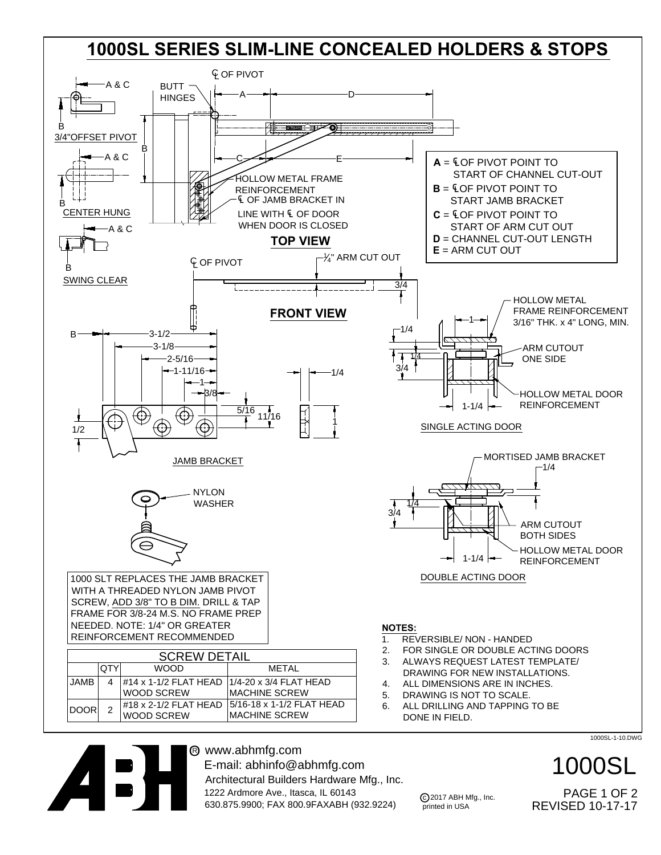## **1000SL SERIES SLIM-LINE CONCEALED HOLDERS & STOPS**



® www.abhmfg.com E-mail: abhinfo@abhmfg.com Architectural Builders Hardware Mfg., Inc. 1222 Ardmore Ave., Itasca, IL 60143 630.875.9900; FAX 800.9FAXABH (932.9224)

1000SL-1-10.DWG

REVISED 10-17-17 1000SL PAGE 1 OF 2

c 2017 ABH Mfg., Inc. printed in USA